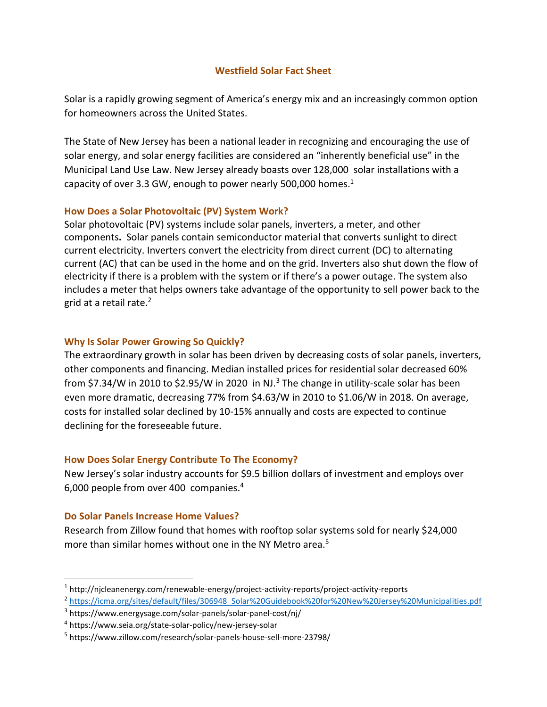#### **Westfield Solar Fact Sheet**

Solar is a rapidly growing segment of America's energy mix and an increasingly common option for homeowners across the United States.

The State of New Jersey has been a national leader in recognizing and encouraging the use of solar energy, and solar energy facilities are considered an "inherently beneficial use" in the Municipal Land Use Law. New Jersey already boasts over 128,000 solar installations with a capacity of over 3.3 GW, enough to power nearly 500,000 homes. $1$ 

### **How Does a Solar Photovoltaic (PV) System Work?**

Solar photovoltaic (PV) systems include solar panels, inverters, a meter, and other components**.** Solar panels contain semiconductor material that converts sunlight to direct current electricity. Inverters convert the electricity from direct current (DC) to alternating current (AC) that can be used in the home and on the grid. Inverters also shut down the flow of electricity if there is a problem with the system or if there's a power outage. The system also includes a meter that helps owners take advantage of the opportunity to sell power back to the grid at a retail rate.<sup>2</sup>

### **Why Is Solar Power Growing So Quickly?**

The extraordinary growth in solar has been driven by decreasing costs of solar panels, inverters, other components and financing. Median installed prices for residential solar decreased 60% from \$7.34/W in 2010 to \$2.95/W in 2020 in NJ.<sup>3</sup> The change in utility-scale solar has been even more dramatic, decreasing 77% from \$4.63/W in 2010 to \$1.06/W in 2018. On average, costs for installed solar declined by 10-15% annually and costs are expected to continue declining for the foreseeable future.

### **How Does Solar Energy Contribute To The Economy?**

New Jersey's solar industry accounts for \$9.5 billion dollars of investment and employs over 6,000 people from over 400 companies.<sup>4</sup>

### **Do Solar Panels Increase Home Values?**

Research from Zillow found that homes with rooftop solar systems sold for nearly \$24,000 more than similar homes without one in the NY Metro area.<sup>5</sup>

<sup>1</sup> http://njcleanenergy.com/renewable-energy/project-activity-reports/project-activity-reports

<sup>2</sup> [https://icma.org/sites/default/files/306948\\_Solar%20Guidebook%20for%20New%20Jersey%20Municipalities.pdf](https://icma.org/sites/default/files/306948_Solar%20Guidebook%20for%20New%20Jersey%20Municipalities.pdf)

<sup>3</sup> https://www.energysage.com/solar-panels/solar-panel-cost/nj/

<sup>4</sup> <https://www.seia.org/state-solar-policy/new-jersey-solar>

<sup>5</sup> https://www.zillow.com/research/solar-panels-house-sell-more-23798/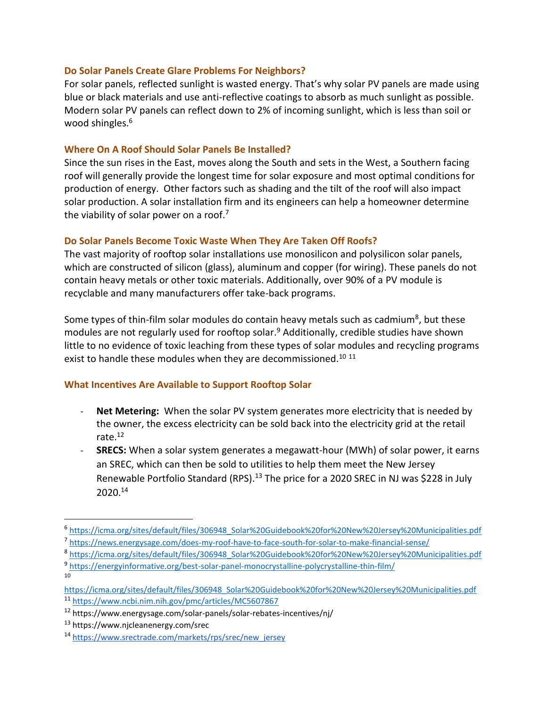#### **Do Solar Panels Create Glare Problems For Neighbors?**

For solar panels, reflected sunlight is wasted energy. That's why solar PV panels are made using blue or black materials and use anti-reflective coatings to absorb as much sunlight as possible. Modern solar PV panels can reflect down to 2% of incoming sunlight, which is less than soil or wood shingles.<sup>6</sup>

#### **Where On A Roof Should Solar Panels Be Installed?**

Since the sun rises in the East, moves along the South and sets in the West, a Southern facing roof will generally provide the longest time for solar exposure and most optimal conditions for production of energy. Other factors such as shading and the tilt of the roof will also impact solar production. A solar installation firm and its engineers can help a homeowner determine the viability of solar power on a roof.<sup>7</sup>

### **Do Solar Panels Become Toxic Waste When They Are Taken Off Roofs?**

The vast majority of rooftop solar installations use monosilicon and polysilicon solar panels, which are constructed of silicon (glass), aluminum and copper (for wiring). These panels do not contain heavy metals or other toxic materials. Additionally, over 90% of a PV module is recyclable and many manufacturers offer take-back programs.

Some types of thin-film solar modules do contain heavy metals such as cadmium<sup>8</sup>, but these modules are not regularly used for rooftop solar.<sup>9</sup> Additionally, credible studies have shown little to no evidence of toxic leaching from these types of solar modules and recycling programs exist to handle these modules when they are decommissioned.<sup>10 11</sup>

### **What Incentives Are Available to Support Rooftop Solar**

- Net Metering: When the solar PV system generates more electricity that is needed by the owner, the excess electricity can be sold back into the electricity grid at the retail rate.<sup>12</sup>
- **SRECS:** When a solar system generates a megawatt-hour (MWh) of solar power, it earns an SREC, which can then be sold to utilities to help them meet the New Jersey Renewable Portfolio Standard (RPS).<sup>13</sup> The price for a 2020 SREC in NJ was \$228 in July 2020.<sup>14</sup>

10

<sup>6</sup> [https://icma.org/sites/default/files/306948\\_Solar%20Guidebook%20for%20New%20Jersey%20Municipalities.pdf](https://icma.org/sites/default/files/306948_Solar%20Guidebook%20for%20New%20Jersey%20Municipalities.pdf)

<sup>7</sup> <https://news.energysage.com/does-my-roof-have-to-face-south-for-solar-to-make-financial-sense/>

<sup>&</sup>lt;sup>8</sup> [https://icma.org/sites/default/files/306948\\_Solar%20Guidebook%20for%20New%20Jersey%20Municipalities.pdf](https://icma.org/sites/default/files/306948_Solar%20Guidebook%20for%20New%20Jersey%20Municipalities.pdf) 9 <https://energyinformative.org/best-solar-panel-monocrystalline-polycrystalline-thin-film/>

[https://icma.org/sites/default/files/306948\\_Solar%20Guidebook%20for%20New%20Jersey%20Municipalities.pdf](https://icma.org/sites/default/files/306948_Solar%20Guidebook%20for%20New%20Jersey%20Municipalities.pdf) <sup>11</sup> <https://www.ncbi.nim.nih.gov/pmc/articles/MC5607867>

<sup>12</sup> <https://www.energysage.com/solar-panels/solar-rebates-incentives/nj/>

<sup>13</sup> <https://www.njcleanenergy.com/srec>

<sup>14</sup> [https://www.srectrade.com/markets/rps/srec/new\\_jersey](https://www.srectrade.com/markets/rps/srec/new_jersey)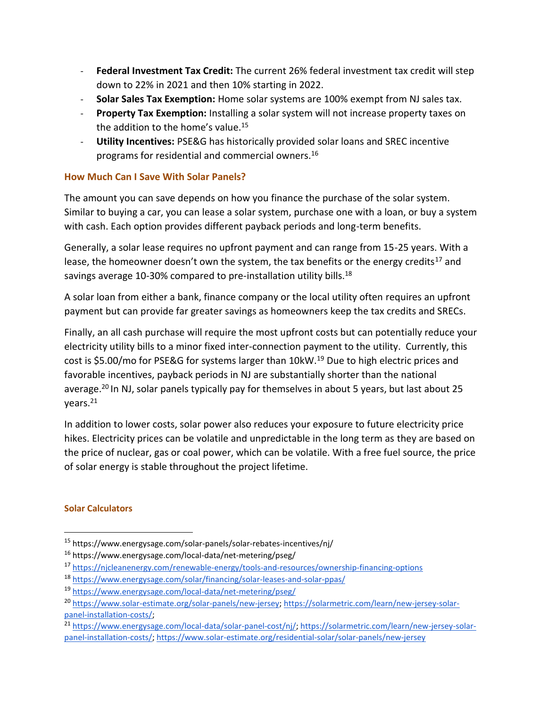- **Federal Investment Tax Credit:** The current 26% federal investment tax credit will step down to 22% in 2021 and then 10% starting in 2022.
- **Solar Sales Tax Exemption:** Home solar systems are 100% exempt from NJ sales tax.
- Property Tax Exemption: Installing a solar system will not increase property taxes on the addition to the home's value.<sup>15</sup>
- **Utility Incentives:** PSE&G has historically provided solar loans and SREC incentive programs for residential and commercial owners.<sup>16</sup>

# **How Much Can I Save With Solar Panels?**

The amount you can save depends on how you finance the purchase of the solar system. Similar to buying a car, you can lease a solar system, purchase one with a loan, or buy a system with cash. Each option provides different payback periods and long-term benefits.

Generally, a solar lease requires no upfront payment and can range from 15-25 years. With a lease, the homeowner doesn't own the system, the tax benefits or the energy credits<sup>17</sup> and savings average 10-30% compared to pre-installation utility bills.<sup>18</sup>

A solar loan from either a bank, finance company or the local utility often requires an upfront payment but can provide far greater savings as homeowners keep the tax credits and SRECs.

Finally, an all cash purchase will require the most upfront costs but can potentially reduce your electricity utility bills to a minor fixed inter-connection payment to the utility. Currently, this cost is \$5.00/mo for PSE&G for systems larger than 10kW.<sup>19</sup> Due to high electric prices and favorable incentives, payback periods in NJ are substantially shorter than the national average.<sup>20</sup> In NJ, solar panels typically pay for themselves in about 5 years, but last about 25 years.<sup>21</sup>

In addition to lower costs, solar power also reduces your exposure to future electricity price hikes. Electricity prices can be volatile and unpredictable in the long term as they are based on the price of nuclear, gas or coal power, which can be volatile. With a free fuel source, the price of solar energy is stable throughout the project lifetime.

# **Solar Calculators**

<sup>15</sup> <https://www.energysage.com/solar-panels/solar-rebates-incentives/nj/>

<sup>16</sup> <https://www.energysage.com/local-data/net-metering/pseg/>

<sup>17</sup> <https://njcleanenergy.com/renewable-energy/tools-and-resources/ownership-financing-options>

<sup>18</sup> <https://www.energysage.com/solar/financing/solar-leases-and-solar-ppas/>

<sup>19</sup> <https://www.energysage.com/local-data/net-metering/pseg/>

<sup>20</sup> [https://www.solar-estimate.org/solar-panels/new-jersey;](https://www.solar-estimate.org/solar-panels/new-jersey?aff=4713&cam=45&gclid=CjwKCAjw8e7mBRBsEiwAPVxxiHa2DLePTeNJ87HA588yfIEO0SVWzdPFn-UwV7Nmm7UOJf0akJFqsxoCUnEQAvD_BwE) [https://solarmetric.com/learn/new-jersey-solar](https://solarmetric.com/learn/new-jersey-solar-panel-installation-costs/)[panel-installation-costs/;](https://solarmetric.com/learn/new-jersey-solar-panel-installation-costs/)

<sup>21</sup> [https://www.energysage.com/local-data/solar-panel-cost/nj/;](https://www.energysage.com/local-data/solar-panel-cost/nj/) [https://solarmetric.com/learn/new-jersey-solar](https://solarmetric.com/learn/new-jersey-solar-panel-installation-costs/)[panel-installation-costs/;](https://solarmetric.com/learn/new-jersey-solar-panel-installation-costs/) [https://www.solar-estimate.org/residential-solar/solar-panels/new-jersey](https://www.solar-estimate.org/residential-solar/solar-panels/new-jersey?aff=4713&cam=45&gclid=CjwKCAjwqML6BRAHEiwAdquMncR21UEhlUPcPTJsJpVE2L15061DwGhGAUCpSF2Jh2_j71-bKsJPUxoCpDMQAvD_BwE)